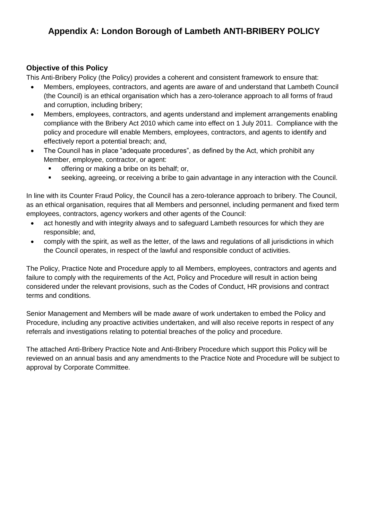## **Appendix A: London Borough of Lambeth ANTI-BRIBERY POLICY**

### **Objective of this Policy**

This Anti-Bribery Policy (the Policy) provides a coherent and consistent framework to ensure that:

- Members, employees, contractors, and agents are aware of and understand that Lambeth Council (the Council) is an ethical organisation which has a zero-tolerance approach to all forms of fraud and corruption, including bribery;
- Members, employees, contractors, and agents understand and implement arrangements enabling compliance with the Bribery Act 2010 which came into effect on 1 July 2011. Compliance with the policy and procedure will enable Members, employees, contractors, and agents to identify and effectively report a potential breach; and,
- The Council has in place "adequate procedures", as defined by the Act, which prohibit any Member, employee, contractor, or agent:
	- offering or making a bribe on its behalf; or,
	- seeking, agreeing, or receiving a bribe to gain advantage in any interaction with the Council.

In line with its Counter Fraud Policy, the Council has a zero-tolerance approach to bribery. The Council, as an ethical organisation, requires that all Members and personnel, including permanent and fixed term employees, contractors, agency workers and other agents of the Council:

- act honestly and with integrity always and to safeguard Lambeth resources for which they are responsible; and,
- comply with the spirit, as well as the letter, of the laws and regulations of all jurisdictions in which the Council operates, in respect of the lawful and responsible conduct of activities.

The Policy, Practice Note and Procedure apply to all Members, employees, contractors and agents and failure to comply with the requirements of the Act, Policy and Procedure will result in action being considered under the relevant provisions, such as the Codes of Conduct, HR provisions and contract terms and conditions.

Senior Management and Members will be made aware of work undertaken to embed the Policy and Procedure, including any proactive activities undertaken, and will also receive reports in respect of any referrals and investigations relating to potential breaches of the policy and procedure.

The attached Anti-Bribery Practice Note and Anti-Bribery Procedure which support this Policy will be reviewed on an annual basis and any amendments to the Practice Note and Procedure will be subject to approval by Corporate Committee.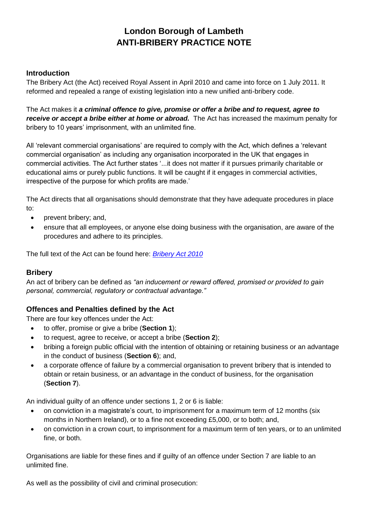# **London Borough of Lambeth ANTI-BRIBERY PRACTICE NOTE**

### **Introduction**

The Bribery Act (the Act) received Royal Assent in April 2010 and came into force on 1 July 2011. It reformed and repealed a range of existing legislation into a new unified anti-bribery code.

The Act makes it *a criminal offence to give, promise or offer a bribe and to request, agree to receive or accept a bribe either at home or abroad.* The Act has increased the maximum penalty for bribery to 10 years' imprisonment, with an unlimited fine.

All 'relevant commercial organisations' are required to comply with the Act, which defines a 'relevant commercial organisation' as including any organisation incorporated in the UK that engages in commercial activities. The Act further states '...it does not matter if it pursues primarily charitable or educational aims or purely public functions. It will be caught if it engages in commercial activities, irrespective of the purpose for which profits are made.'

The Act directs that all organisations should demonstrate that they have adequate procedures in place to:

- prevent bribery; and,
- ensure that all employees, or anyone else doing business with the organisation, are aware of the procedures and adhere to its principles.

The full text of the Act can be found here: *[Bribery Act 2010](http://www.opsi.gov.uk/acts/acts2010/ukpga_20100023_en_1)*

### **Bribery**

An act of bribery can be defined as *"an inducement or reward offered, promised or provided to gain personal, commercial, regulatory or contractual advantage."*

## **Offences and Penalties defined by the Act**

There are four key offences under the Act:

- to offer, promise or give a bribe (**Section 1**);
- to request, agree to receive, or accept a bribe (**Section 2**);
- bribing a foreign public official with the intention of obtaining or retaining business or an advantage in the conduct of business (**Section 6**); and,
- a corporate offence of failure by a commercial organisation to prevent bribery that is intended to obtain or retain business, or an advantage in the conduct of business, for the organisation (**Section 7**).

An individual guilty of an offence under sections 1, 2 or 6 is liable:

- on conviction in a magistrate's court, to imprisonment for a maximum term of 12 months (six months in Northern Ireland), or to a fine not exceeding £5,000, or to both; and,
- on conviction in a crown court, to imprisonment for a maximum term of ten years, or to an unlimited fine, or both.

Organisations are liable for these fines and if guilty of an offence under Section 7 are liable to an unlimited fine.

As well as the possibility of civil and criminal prosecution: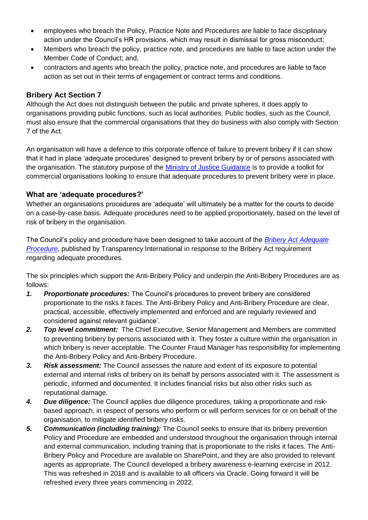- employees who breach the Policy, Practice Note and Procedures are liable to face disciplinary action under the Council's HR provisions, which may result in dismissal for gross misconduct;
- Members who breach the policy, practice note, and procedures are liable to face action under the Member Code of Conduct; and,
- contractors and agents who breach the policy, practice note, and procedures are liable to face action as set out in their terms of engagement or contract terms and conditions.

### **Bribery Act Section 7**

Although the Act does not distinguish between the public and private spheres, it does apply to organisations providing public functions, such as local authorities. Public bodies, such as the Council, must also ensure that the commercial organisations that they do business with also comply with Section 7 of the Act.

An organisation will have a defence to this corporate offence of failure to prevent bribery if it can show that it had in place 'adequate procedures' designed to prevent bribery by or of persons associated with the organisation. The statutory purpose of the [Ministry of Justice Guidance](https://www.justice.gov.uk/downloads/legislation/bribery-act-2010-guidance.pdf) is to provide a toolkit for commercial organisations looking to ensure that adequate procedures to prevent bribery were in place.

### **What are 'adequate procedures?'**

Whether an organisations procedures are 'adequate' will ultimately be a matter for the courts to decide on a case-by-case basis. Adequate procedures need to be applied proportionately, based on the level of risk of bribery in the organisation.

The Council's policy and procedure have been designed to take account of the *[Bribery Act Adequate](https://www.transparency.org.uk/sites/default/files/pdf/publications/Adequate_Procedures_-_Guidance_to_the_UK_Bribery_Act_2010.pdf)  [Procedure,](https://www.transparency.org.uk/sites/default/files/pdf/publications/Adequate_Procedures_-_Guidance_to_the_UK_Bribery_Act_2010.pdf)* published by Transparency International in response to the Bribery Act requirement regarding adequate procedures.

The six principles which support the Anti-Bribery Policy and underpin the Anti-Bribery Procedures are as follows:

- *1. Proportionate procedures:* The Council's procedures to prevent bribery are considered proportionate to the risks it faces. The Anti-Bribery Policy and Anti-Bribery Procedure are clear, practical, accessible, effectively implemented and enforced and are regularly reviewed and considered against relevant guidance'.
- *2. Top level commitment:* The Chief Executive, Senior Management and Members are committed to preventing bribery by persons associated with it. They foster a culture within the organisation in which bribery is never acceptable. The Counter Fraud Manager has responsibility for implementing the Anti-Bribery Policy and Anti-Bribery Procedure.
- *3. Risk assessment:* The Council assesses the nature and extent of its exposure to potential external and internal risks of bribery on its behalf by persons associated with it. The assessment is periodic, informed and documented. It includes financial risks but also other risks such as reputational damage.
- *4. Due diligence:* The Council applies due diligence procedures, taking a proportionate and riskbased approach, in respect of persons who perform or will perform services for or on behalf of the organisation, to mitigate identified bribery risks.
- *5. Communication (including training):* The Council seeks to ensure that its bribery prevention Policy and Procedure are embedded and understood throughout the organisation through internal and external communication, including training that is proportionate to the risks it faces. The Anti-Bribery Policy and Procedure are available on SharePoint, and they are also provided to relevant agents as appropriate. The Council developed a bribery awareness e-learning exercise in 2012. This was refreshed in 2018 and is available to all officers via Oracle. Going forward it will be refreshed every three years commencing in 2022.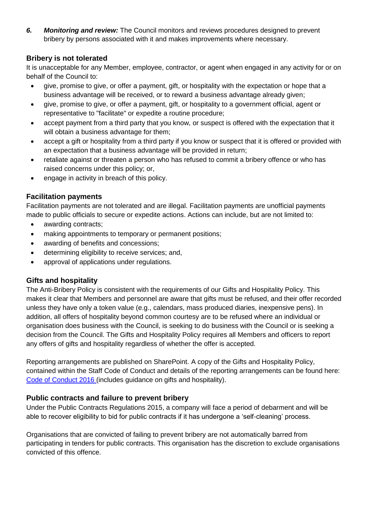*6. Monitoring and review:* The Council monitors and reviews procedures designed to prevent bribery by persons associated with it and makes improvements where necessary.

## **Bribery is not tolerated**

It is unacceptable for any Member, employee, contractor, or agent when engaged in any activity for or on behalf of the Council to:

- give, promise to give, or offer a payment, gift, or hospitality with the expectation or hope that a business advantage will be received, or to reward a business advantage already given;
- give, promise to give, or offer a payment, gift, or hospitality to a government official, agent or representative to "facilitate" or expedite a routine procedure;
- accept payment from a third party that you know, or suspect is offered with the expectation that it will obtain a business advantage for them;
- accept a gift or hospitality from a third party if you know or suspect that it is offered or provided with an expectation that a business advantage will be provided in return;
- retaliate against or threaten a person who has refused to commit a bribery offence or who has raised concerns under this policy; or,
- engage in activity in breach of this policy.

## **Facilitation payments**

Facilitation payments are not tolerated and are illegal. Facilitation payments are unofficial payments made to public officials to secure or expedite actions. Actions can include, but are not limited to:

- awarding contracts;
- making appointments to temporary or permanent positions;
- awarding of benefits and concessions;
- determining eligibility to receive services; and,
- approval of applications under regulations.

## **Gifts and hospitality**

The Anti-Bribery Policy is consistent with the requirements of our Gifts and Hospitality Policy. This makes it clear that Members and personnel are aware that gifts must be refused, and their offer recorded unless they have only a token value (e.g., calendars, mass produced diaries, inexpensive pens). In addition, all offers of hospitality beyond common courtesy are to be refused where an individual or organisation does business with the Council, is seeking to do business with the Council or is seeking a decision from the Council. The Gifts and Hospitality Policy requires all Members and officers to report any offers of gifts and hospitality regardless of whether the offer is accepted.

Reporting arrangements are published on SharePoint. A copy of the Gifts and Hospitality Policy, contained within the Staff Code of Conduct and details of the reporting arrangements can be found here: [Code of Conduct 2016](https://lambeth.sharepoint.com/teams/hub01/hr/Intranet%20Documents/Code%20of%20Conduct%202016.pdf) (includes guidance on gifts and hospitality).

## **Public contracts and failure to prevent bribery**

Under the Public Contracts Regulations 2015, a company will face a period of debarment and will be able to recover eligibility to bid for public contracts if it has undergone a 'self-cleaning' process.

Organisations that are convicted of failing to prevent bribery are not automatically barred from participating in tenders for public contracts. This organisation has the discretion to exclude organisations convicted of this offence.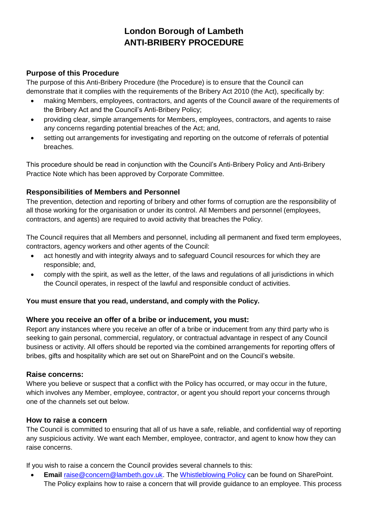## **London Borough of Lambeth ANTI-BRIBERY PROCEDURE**

## **Purpose of this Procedure**

The purpose of this Anti-Bribery Procedure (the Procedure) is to ensure that the Council can demonstrate that it complies with the requirements of the Bribery Act 2010 (the Act), specifically by:

- making Members, employees, contractors, and agents of the Council aware of the requirements of the Bribery Act and the Council's Anti-Bribery Policy;
- providing clear, simple arrangements for Members, employees, contractors, and agents to raise any concerns regarding potential breaches of the Act; and,
- setting out arrangements for investigating and reporting on the outcome of referrals of potential breaches.

This procedure should be read in conjunction with the Council's Anti-Bribery Policy and Anti-Bribery Practice Note which has been approved by Corporate Committee.

## **Responsibilities of Members and Personnel**

The prevention, detection and reporting of bribery and other forms of corruption are the responsibility of all those working for the organisation or under its control. All Members and personnel (employees, contractors, and agents) are required to avoid activity that breaches the Policy.

The Council requires that all Members and personnel, including all permanent and fixed term employees, contractors, agency workers and other agents of the Council:

- act honestly and with integrity always and to safeguard Council resources for which they are responsible; and,
- comply with the spirit, as well as the letter, of the laws and regulations of all jurisdictions in which the Council operates, in respect of the lawful and responsible conduct of activities.

## **You must ensure that you read, understand, and comply with the Policy.**

## **Where you receive an offer of a bribe or inducement, you must:**

Report any instances where you receive an offer of a bribe or inducement from any third party who is seeking to gain personal, commercial, regulatory, or contractual advantage in respect of any Council business or activity. All offers should be reported via the combined arrangements for reporting offers of bribes, gifts and hospitality which are set out on SharePoint and on the Council's website.

### **Raise concerns:**

Where you believe or suspect that a conflict with the Policy has occurred, or may occur in the future, which involves any Member, employee, contractor, or agent you should report your concerns through one of the channels set out below.

### **How to rai**s**e a concern**

The Council is committed to ensuring that all of us have a safe, reliable, and confidential way of reporting any suspicious activity. We want each Member, employee, contractor, and agent to know how they can raise concerns.

If you wish to raise a concern the Council provides several channels to this:

 **Email** [raise@concern@lambeth.gov.uk.](mailto:raise@concern@lambeth.gov.uk) The [Whistleblowing Policy](https://lambeth.sharepoint.com/teams/hub01/iacf/Intranet%20Documents/Whistleblowing%20Policy%20and%20Procedure.pdf) can be found on SharePoint. The Policy explains how to raise a concern that will provide guidance to an employee. This process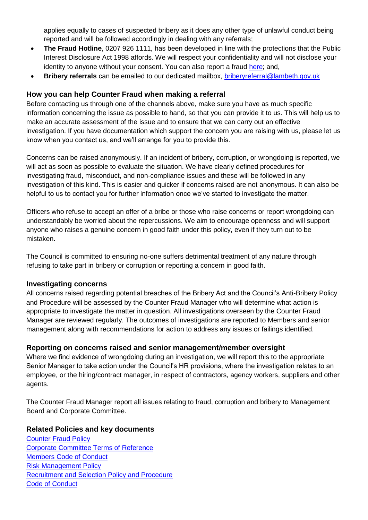applies equally to cases of suspected bribery as it does any other type of unlawful conduct being reported and will be followed accordingly in dealing with any referrals;

- **The Fraud Hotline**, 0207 926 1111, has been developed in line with the protections that the Public Interest Disclosure Act 1998 affords. We will respect your confidentiality and will not disclose your identity to anyone without your consent. You can also report a fraud [here;](https://www.lambeth.gov.uk/benefits-and-council-tax/report-fraud) and,
- **Bribery referrals** can be emailed to our dedicated mailbox, [briberyreferral@lambeth.gov.uk](mailto:briberyreferral@lambeth.gov.uk)

### **How you can help Counter Fraud when making a referral**

Before contacting us through one of the channels above, make sure you have as much specific information concerning the issue as possible to hand, so that you can provide it to us. This will help us to make an accurate assessment of the issue and to ensure that we can carry out an effective investigation. If you have documentation which support the concern you are raising with us, please let us know when you contact us, and we'll arrange for you to provide this.

Concerns can be raised anonymously. If an incident of bribery, corruption, or wrongdoing is reported, we will act as soon as possible to evaluate the situation. We have clearly defined procedures for investigating fraud, misconduct, and non-compliance issues and these will be followed in any investigation of this kind. This is easier and quicker if concerns raised are not anonymous. It can also be helpful to us to contact you for further information once we've started to investigate the matter.

Officers who refuse to accept an offer of a bribe or those who raise concerns or report wrongdoing can understandably be worried about the repercussions. We aim to encourage openness and will support anyone who raises a genuine concern in good faith under this policy, even if they turn out to be mistaken.

The Council is committed to ensuring no-one suffers detrimental treatment of any nature through refusing to take part in bribery or corruption or reporting a concern in good faith.

### **Investigating concerns**

All concerns raised regarding potential breaches of the Bribery Act and the Council's Anti-Bribery Policy and Procedure will be assessed by the Counter Fraud Manager who will determine what action is appropriate to investigate the matter in question. All investigations overseen by the Counter Fraud Manager are reviewed regularly. The outcomes of investigations are reported to Members and senior management along with recommendations for action to address any issues or failings identified.

### **Reporting on concerns raised and senior management/member oversight**

Where we find evidence of wrongdoing during an investigation, we will report this to the appropriate Senior Manager to take action under the Council's HR provisions, where the investigation relates to an employee, or the hiring/contract manager, in respect of contractors, agency workers, suppliers and other agents.

The Counter Fraud Manager report all issues relating to fraud, corruption and bribery to Management Board and Corporate Committee.

### **Related Policies and key documents**

[Counter Fraud Policy](https://lambeth.sharepoint.com/teams/hub01/iacf/Intranet%20Documents/Counter-Fraud%20Policy.pdf)  [Corporate Committee Terms of Reference](https://moderngov.lambeth.gov.uk/mgCommitteeDetails.aspx?ID=115) [Members Code of Conduct](https://www.lambeth.gov.uk/elections-and-council/about-lambeth/constitution-guide) [Risk Management Policy](https://lambeth.sharepoint.com/finance/Pages/Risk-Management.aspx) [Recruitment and Selection Policy and Procedure](https://lambeth.sharepoint.com/teams/hub01/hr/Intranet%20Documents/Lambeth%20recruitment%20policy.pdf)  [Code of Conduct](https://lambeth.sharepoint.com/teams/hub01/hr/Intranet%20Documents/Code%20of%20Conduct%202016.pdf)